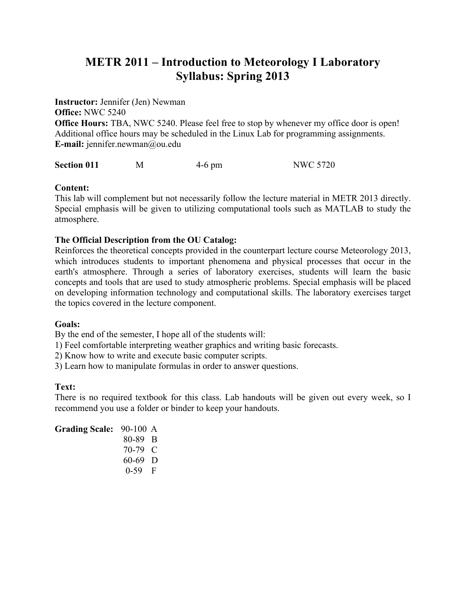# **METR 2011 – Introduction to Meteorology I Laboratory Syllabus: Spring 2013**

**Instructor:** Jennifer (Jen) Newman **Office:** NWC 5240 **Office Hours:** TBA, NWC 5240. Please feel free to stop by whenever my office door is open! Additional office hours may be scheduled in the Linux Lab for programming assignments. **E-mail:** *jennifer.newman@ou.edu* 

**Section 011** M 4-6 pm NWC 5720

### **Content:**

This lab will complement but not necessarily follow the lecture material in METR 2013 directly. Special emphasis will be given to utilizing computational tools such as MATLAB to study the atmosphere.

### **The Official Description from the OU Catalog:**

Reinforces the theoretical concepts provided in the counterpart lecture course Meteorology 2013, which introduces students to important phenomena and physical processes that occur in the earth's atmosphere. Through a series of laboratory exercises, students will learn the basic concepts and tools that are used to study atmospheric problems. Special emphasis will be placed on developing information technology and computational skills. The laboratory exercises target the topics covered in the lecture component.

#### **Goals:**

By the end of the semester, I hope all of the students will:

1) Feel comfortable interpreting weather graphics and writing basic forecasts.

2) Know how to write and execute basic computer scripts.

3) Learn how to manipulate formulas in order to answer questions.

### **Text:**

There is no required textbook for this class. Lab handouts will be given out every week, so I recommend you use a folder or binder to keep your handouts.

| <b>Grading Scale: 90-100 A</b> |           |  |
|--------------------------------|-----------|--|
|                                | 80-89 B   |  |
|                                | 70-79 C   |  |
|                                | $60-69$ D |  |
|                                | $0-59$ F  |  |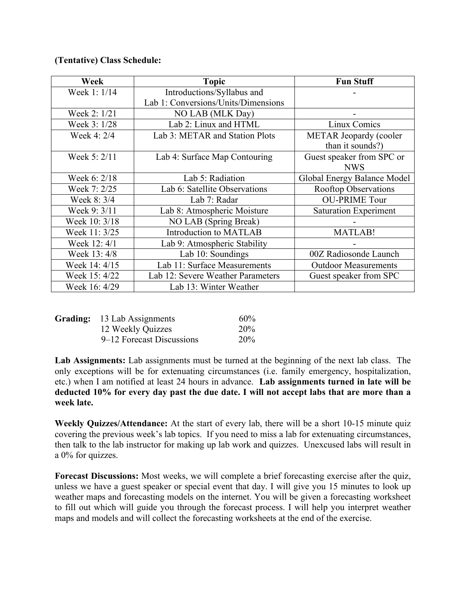## **(Tentative) Class Schedule:**

| Week          | <b>Topic</b>                        | <b>Fun Stuff</b>             |
|---------------|-------------------------------------|------------------------------|
| Week 1: 1/14  | Introductions/Syllabus and          |                              |
|               | Lab 1: Conversions/Units/Dimensions |                              |
| Week 2: 1/21  | NO LAB (MLK Day)                    |                              |
| Week 3: 1/28  | Lab 2: Linux and HTML               | Linux Comics                 |
| Week 4: 2/4   | Lab 3: METAR and Station Plots      | METAR Jeopardy (cooler       |
|               |                                     | than it sounds?)             |
| Week 5: 2/11  | Lab 4: Surface Map Contouring       | Guest speaker from SPC or    |
|               |                                     | <b>NWS</b>                   |
| Week 6: 2/18  | Lab 5: Radiation                    | Global Energy Balance Model  |
| Week 7: 2/25  | Lab 6: Satellite Observations       | <b>Rooftop Observations</b>  |
| Week 8: 3/4   | Lab 7: Radar                        | <b>OU-PRIME Tour</b>         |
| Week 9: 3/11  | Lab 8: Atmospheric Moisture         | <b>Saturation Experiment</b> |
| Week 10: 3/18 | NO LAB (Spring Break)               |                              |
| Week 11: 3/25 | Introduction to MATLAB              | <b>MATLAB!</b>               |
| Week 12: 4/1  | Lab 9: Atmospheric Stability        |                              |
| Week 13:4/8   | Lab 10: Soundings                   | 00Z Radiosonde Launch        |
| Week 14: 4/15 | Lab 11: Surface Measurements        | <b>Outdoor Measurements</b>  |
| Week 15: 4/22 | Lab 12: Severe Weather Parameters   | Guest speaker from SPC       |
| Week 16: 4/29 | Lab 13: Winter Weather              |                              |

| Grading: 13 Lab Assignments | $60\%$ |
|-----------------------------|--------|
| 12 Weekly Quizzes           | 20%    |
| 9–12 Forecast Discussions   | 20%    |

**Lab Assignments:** Lab assignments must be turned at the beginning of the next lab class. The only exceptions will be for extenuating circumstances (i.e. family emergency, hospitalization, etc.) when I am notified at least 24 hours in advance. **Lab assignments turned in late will be deducted 10% for every day past the due date. I will not accept labs that are more than a week late.** 

**Weekly Quizzes/Attendance:** At the start of every lab, there will be a short 10-15 minute quiz covering the previous week's lab topics. If you need to miss a lab for extenuating circumstances, then talk to the lab instructor for making up lab work and quizzes. Unexcused labs will result in a 0% for quizzes.

**Forecast Discussions:** Most weeks, we will complete a brief forecasting exercise after the quiz, unless we have a guest speaker or special event that day. I will give you 15 minutes to look up weather maps and forecasting models on the internet. You will be given a forecasting worksheet to fill out which will guide you through the forecast process. I will help you interpret weather maps and models and will collect the forecasting worksheets at the end of the exercise.